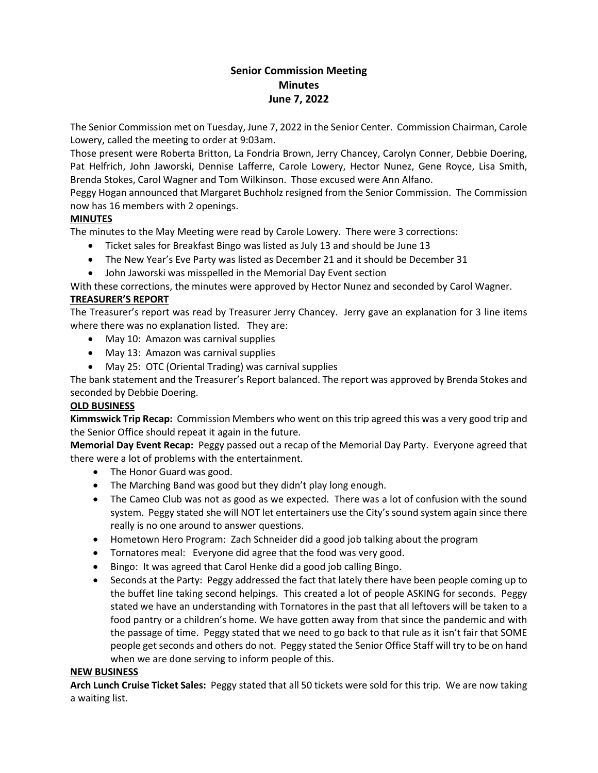# **Senior Commission Meeting Minutes June 7, 2022**

The Senior Commission met on Tuesday, June 7, 2022 in the Senior Center. Commission Chairman, Carole Lowery, called the meeting to order at 9:03am.

Those present were Roberta Britton, La Fondria Brown, Jerry Chancey, Carolyn Conner, Debbie Doering, Pat Helfrich, John Jaworski, Dennise Lafferre, Carole Lowery, Hector Nunez, Gene Royce, Lisa Smith, Brenda Stokes, Carol Wagner and Tom Wilkinson. Those excused were Ann Alfano.

Peggy Hogan announced that Margaret Buchholz resigned from the Senior Commission. The Commission now has 16 members with 2 openings.

# **MINUTES**

The minutes to the May Meeting were read by Carole Lowery. There were 3 corrections:

- Ticket sales for Breakfast Bingo was listed as July 13 and should be June 13
- The New Year's Eve Party was listed as December 21 and it should be December 31
- John Jaworski was misspelled in the Memorial Day Event section

With these corrections, the minutes were approved by Hector Nunez and seconded by Carol Wagner.

# **TREASURER'S REPORT**

The Treasurer's report was read by Treasurer Jerry Chancey. Jerry gave an explanation for 3 line items where there was no explanation listed. They are:

- May 10: Amazon was carnival supplies
- May 13: Amazon was carnival supplies
- May 25: OTC (Oriental Trading) was carnival supplies

The bank statement and the Treasurer's Report balanced. The report was approved by Brenda Stokes and seconded by Debbie Doering.

### **OLD BUSINESS**

**Kimmswick Trip Recap:** Commission Members who went on this trip agreed this was a very good trip and the Senior Office should repeat it again in the future.

**Memorial Day Event Recap:** Peggy passed out a recap of the Memorial Day Party. Everyone agreed that there were a lot of problems with the entertainment.

- The Honor Guard was good.
- The Marching Band was good but they didn't play long enough.
- The Cameo Club was not as good as we expected. There was a lot of confusion with the sound system. Peggy stated she will NOT let entertainers use the City's sound system again since there really is no one around to answer questions.
- Hometown Hero Program: Zach Schneider did a good job talking about the program
- Tornatores meal: Everyone did agree that the food was very good.
- Bingo: It was agreed that Carol Henke did a good job calling Bingo.
- Seconds at the Party: Peggy addressed the fact that lately there have been people coming up to the buffet line taking second helpings. This created a lot of people ASKING for seconds. Peggy stated we have an understanding with Tornatores in the past that all leftovers will be taken to a food pantry or a children's home. We have gotten away from that since the pandemic and with the passage of time. Peggy stated that we need to go back to that rule as it isn't fair that SOME people get seconds and others do not. Peggy stated the Senior Office Staff will try to be on hand when we are done serving to inform people of this.

### **NEW BUSINESS**

**Arch Lunch Cruise Ticket Sales:** Peggy stated that all 50 tickets were sold for this trip. We are now taking a waiting list.